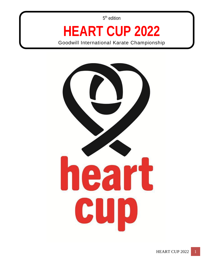5<sup>th</sup> edition

## **HEART CUP 2022**

Goodwill International Karate Championship

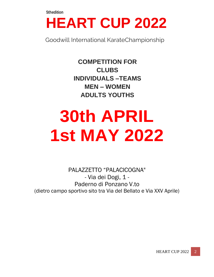### **HEART CUP 2022**

Goodwill International KarateChampionship

**COMPETITION FOR CLUBS INDIVIDUALS –TEAMS MEN – WOMEN ADULTS YOUTHS**

## **30th APRIL 1st MAY 2022**

PALAZZETTO "PALACICOGNA" - Via dei Dogi, 1 - Paderno di Ponzano V.to (dietro campo sportivo sito tra Via del Bellato e Via XXV Aprile)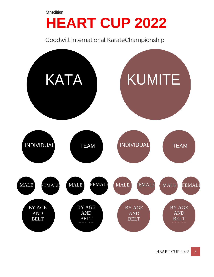## **HEART CUP 2022**

Goodwill International KarateChampionship

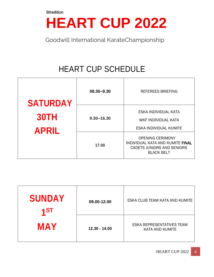## **HEART CUP 2022**

Goodwill International KarateChampionship

### HEART CUP SCHEDULE

| <b>SATURDAY</b><br><b>30TH</b><br><b>APRIL</b> | 08.30-9.30     | <b>REFEREES BRIEFING</b>                                                                                       |
|------------------------------------------------|----------------|----------------------------------------------------------------------------------------------------------------|
|                                                | $9.30 - 16.30$ | ESKA INDIVIDUAL KATA<br>WKF INDIVIDUAL KATA<br>ESKA INDIVIDUAL KUMITE                                          |
|                                                | 17.00          | <b>OPENING CERIMONY</b><br>INDIVIDUAL KATA AND KUMITE FINAL<br>CADETS JUNIORS AND SENIORS<br><b>BLACK BELT</b> |

| <b>SUNDAY</b><br>$\overline{4ST}$ | 09.00-12.00     | ESKA CLUB TEAM KATA AND KUMITE                             |
|-----------------------------------|-----------------|------------------------------------------------------------|
| <b>MAY</b>                        | $12.30 - 14.00$ | <b>ESKA REPRESENTATIVES TEAM</b><br><b>KATA AND KUMITE</b> |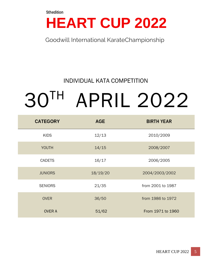## **HEART CUP 2022**

Goodwill International KarateChampionship

#### INDIVIDUAL KATA COMPETITION

# 30TH APRIL 2022

| <b>CATEGORY</b> | <b>AGE</b> | <b>BIRTH YEAR</b> |
|-----------------|------------|-------------------|
| <b>KIDS</b>     | 12/13      | 2010/2009         |
| <b>YOUTH</b>    | 14/15      | 2008/2007         |
| <b>CADETS</b>   | 16/17      | 2006/2005         |
| <b>JUNIORS</b>  | 18/19/20   | 2004/2003/2002    |
| <b>SENIORS</b>  | 21/35      | from 2001 to 1987 |
| <b>OVER</b>     | 36/50      | from 1986 to 1972 |
| <b>OVER A</b>   | 51/62      | From 1971 to 1960 |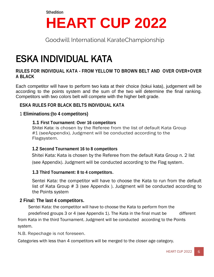## **HEART CUP 2022**

Goodwill International KarateChampionship

### ESKA INDIVIDUAL KATA

#### **RULES FOR INDIVIDUAL KATA - FROM YELLOW TO BROWN BELT AND OVER OVER+OVER A BLACK**

Each competitor will have to perform two kata at their choice (tokui kata), judgement will be according to the points system and the sum of the two will determine the final ranking. Competitors with two colors belt will compete with the higher belt grade.

#### **ESKA RULES FOR BLACK BELTS INDIVIDUAL KATA**

#### 1 **Eliminations:(to 4 competitors)**

#### **1.1 First Tournament: Over 16 competitors**

Shitei Kata: is chosen by the Referee from the list of default Kata Group #1 (seeAppendix). Judgment will be conducted according to the Flagsystem.

#### **1.2 Second Tournament 16 to 8 competitors**

 Shitei Kata: Kata is chosen by the Referee from the default Kata Group n. 2 list (see Appendix). Judgment will be conducted according to the Flag system.

#### **1.3 Third Tournament: 8 to 4 competitors.**

Sentei Kata: the competitor will have to choose the Kata to run from the default list of Kata Group # 3 (see Appendix ). Judgment will be conducted according to the Points system

#### **2 Final: The last 4 competitors.**

Sentei Kata: the competitor will have to choose the Kata to perform from the predefined groups 3 or 4 (see Appendix 1). The Kata in the final must be different from Kata in the third Tournament. Judgment will be conducted according to the Points system.

N.B. Repechage is not foreseen.

Categories with less than 4 competitors will be merged to the closer age category.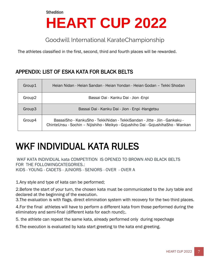## **HEART CUP 2022**

Goodwill International KarateChampionship

The athletes classified in the first, second, third and fourth places will be rewarded.

#### APPENDIX: LIST OF ESKA KATA FOR BLACK BELTS

| Group1             | Heian Nidan - Heian Sandan - Heian Yondan - Heian Godan – Tekki Shodan                                                                                             |
|--------------------|--------------------------------------------------------------------------------------------------------------------------------------------------------------------|
| Group <sub>2</sub> | Bassai Dai - Kanku Dai - Jion - Enpi                                                                                                                               |
| Group3             | Bassai Dai - Kanku Dai - Jion - Enpi - Hangetsu                                                                                                                    |
| Group4             | Bassai Sho - Kanku Sho - Tekki Nidan - Tekki Sandan - Jitte - Jiin - Gankaku -<br>ChinteUnsu - Sochin - Nijishiho - Meikyo - Gojushiho Dai - GojushihaSho - Wankan |

### WKF INDIVIDUAL KATA RULES

WKF KATA INDIVIDUAL kata COMPETITION IS OPENED TO BROWN AND BLACK BELTS FOR THE FOLLOWINGCATEGORIES.: KIDS - YOUNG - CADETS - JUNIORS - SENIORS - OVER - OVER A

1.Any style and type of kata can be performed;

2.Before the start of your turn, the chosen kata must be communicated to the Jury table and declared at the beginning of the execution.

3.The evaluation is with flags, direct elimination system with recovery for the two third places.

4.For the final athletes will have to perform a different kata from those performed during the eliminatory and semi-final (different kata for each round);.

5. the athlete can repeat the same kata, already performed only during repechage

6.The execution is evaluated by kata start greeting to the kata end greeting.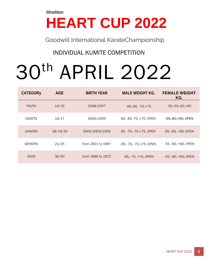## **HEART CUP 2022**

Goodwill International KarateChampionship

#### INDIVIDUAL KUMITE COMPETITION

# 30th APRIL 2022

| <b>CATEGORy</b> | <b>AGE</b> | <b>BIRTH YEAR</b> | <b>MALE WEIGHT KG.</b>   | <b>FEMALE WEIGHT</b><br>KG. |
|-----------------|------------|-------------------|--------------------------|-----------------------------|
| YOUTH           | 14/15      | 2008/2007         | $-60,-65,-70,+70$        | $-50, -55, -60, +60$        |
| <b>CADETS</b>   | 16/17      | 2006/2005         | 60, -65,-70, +70, OPEN   | -55,-60,+60, OPEN           |
| <b>JUNIORS</b>  | 18/19/20   | 2004/2003/2002    | 65, -70, -75, +75, OPEN  | $-55, -60, +60,$ OPEN       |
| <b>SENIORS</b>  | 21/35      | from 2001 to 1987 | -65, -70, -75, +75, OPEN | -55, -60, +60, OPEN         |
| <b>OVER</b>     | 36/50      | from 1986 to 1972 | $-65, -75, +75,$ OPEN    | -55, -60, +60, OPEN         |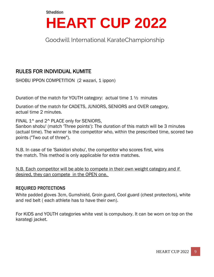## **HEART CUP 2022**

Goodwill International KarateChampionship

#### RULES FOR INDIVIDUAL KUMITE

SHOBU IPPON COMPETITION (2 wazari, 1 ippon)

Duration of the match for YOUTH category: actual time 1 ½ minutes

Duration of the match for CADETS, JUNIORS, SENIORS and OVER category, actual time 2 minutes.

FINAL 1<sup>^</sup> and 2<sup>^</sup> PLACE only for SENIORS,

Sanbon shobu' (match 'Three points'): The duration of this match will be 3 minutes (actual time). The winner is the competitor who, within the prescribed time, scored two points ("Two out of three").

N.B. In case of tie 'Sakidori shobu', the competitor who scores first, wins the match. This method is only applicable for extra matches.

N.B. Each competitor will be able to compete in their own weight category and if desired, they can compete in the OPEN one.

#### REQUIRED PROTECTIONS

White padded gloves 3cm, Gumshield, Groin guard, Cool guard (chest protectors), white and red belt ( each athlete has to have their own).

For KIDS and YOUTH categories white vest is compulsory. It can be worn on top on the karategi jacket.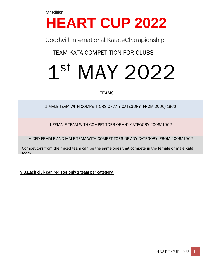## **HEART CUP 2022**

Goodwill International KarateChampionship

TEAM KATA COMPETITION FOR CLUBS

## 1 st MAY 2022

#### **TEAMS**

1 MALE TEAM WITH COMPETITORS OF ANY CATEGORY FROM 2006/1962

1 FEMALE TEAM WITH COMPETITORS OF ANY CATEGORY 2006/1962

MIXED FEMALE AND MALE TEAM WITH COMPETITORS OF ANY CATEGORY FROM 2006/1962

Competitors from the mixed team can be the same ones that compete in the female or male kata team.

**N.B.Each club can register only 1 team per category**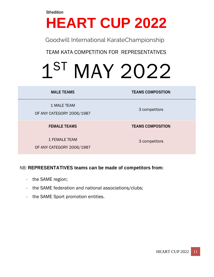## **HEART CUP 2022**

Goodwill International KarateChampionship

TEAM KATA COMPETITION FOR REPRESENTATIVES

# 1 ST MAY 2022

#### **MALE TEAMS TEAMS COMPOSITION**

1 MALE TEAM

OF ANY CATEGORY 2006/1987

1 FEMALE TEAM

OF ANY CATEGORY 2006/1987

3 competitors

**FEMALE TEAMS TEAMS COMPOSITION**

3 competitors

#### NB: **REPRESENTATIVES teams can be made of competitors from:**

- the SAME region;
- the SAME federation and national associations/clubs;
- the SAME Sport promotion entities.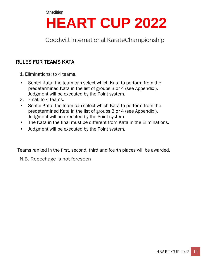## **HEART CUP 2022**

Goodwill International KarateChampionship

#### RULES FOR TEAMS KATA

- 1. Eliminations: to 4 teams.
- Sentei Kata: the team can select which Kata to perform from the predetermined Kata in the list of groups 3 or 4 (see Appendix ). Judgment will be executed by the Point system.
- 2. Final: to 4 teams.
- Sentei Kata: the team can select which Kata to perform from the predetermined Kata in the list of groups 3 or 4 (see Appendix ). Judgment will be executed by the Point system.
- The Kata in the final must be different from Kata in the Eliminations.
- Judgment will be executed by the Point system.

Teams ranked in the first, second, third and fourth places will be awarded.

N.B. Repechage is not foreseen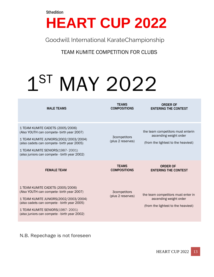## **HEART CUP 2022**

Goodwill International KarateChampionship

TEAM KUMITE COMPETITION FOR CLUBS

## 1 ST MAY 2022

**MALE TEAMS TEAMS COMPOSITIONS ORDER OF ENTERING THE CONTEST** 1 TEAM KUMITE CADETS (2005/2006) (Also YOUTH can compete- birth year 2007) 1 TEAM KUMITE JUNIORS(2002/2003/2004) (also cadets can compete- birth year 2005) 1 TEAM KUMITE SENIORS(1987- 2001) (also juniors can compete - birth year 2002) 3competitors (plus 2 reserves) the team competitors must enterin ascending weight order (from the lightest to the heaviest) **FEMALE TEAM TEAMS COMPOSITIONS ORDER OF ENTERING THE CONTEST** 1 TEAM KUMITE CADETS (2005/2006) (Also YOUTH can compete- birth year 2007) 1 TEAM KUMITE JUNIORS(2002/2003/2004) (also cadets can compete - birth year 2005) 1 TEAM KUMITE SENIORS(1987- 2001) (also juniors can compete - birth year 2002) 3competitors (plus 2 reserves) the team competitors must enter in ascending weight order (from the lightest to the heaviest)

N.B. Repechage is not foreseen

**HEART CUP 2022** 13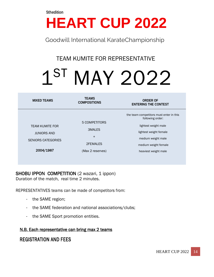## **HEART CUP 2022**

Goodwill International KarateChampionship

#### TEAM KUMITE FOR REPRESENTATIVE

## 1 ST MAY 2022

| <b>MIXED TEAMS</b>                                                                     | <b>TEAMS</b><br><b>COMPOSITIONS</b>                                   | <b>ORDER OF</b><br><b>ENTERING THE CONTEST</b>                                                                                                                                      |
|----------------------------------------------------------------------------------------|-----------------------------------------------------------------------|-------------------------------------------------------------------------------------------------------------------------------------------------------------------------------------|
| <b>TEAM KUMITE FOR</b><br><b>JUNIORS AND</b><br><b>SENIORS CATEGORIES</b><br>2004/1987 | 5 COMPETITORS<br><b>3MALES</b><br>$+$<br>2FEMALES<br>(Max 2 reserves) | the team competitors must enter in this<br>following order:<br>lightest weight male<br>lightest weight female<br>medium weight male<br>medium weight female<br>heaviest weight male |

SHOBU IPPON COMPETITION (2 wazari, 1 ippon) Duration of the match, real time 2 minutes.

REPRESENTATIVES teams can be made of competitors from:

- the SAME region;
- the SAME federation and national associations/clubs;
- the SAME Sport promotion entities.

#### N.B. Each representative can bring max 2 teams

#### REGISTRATION AND FEES